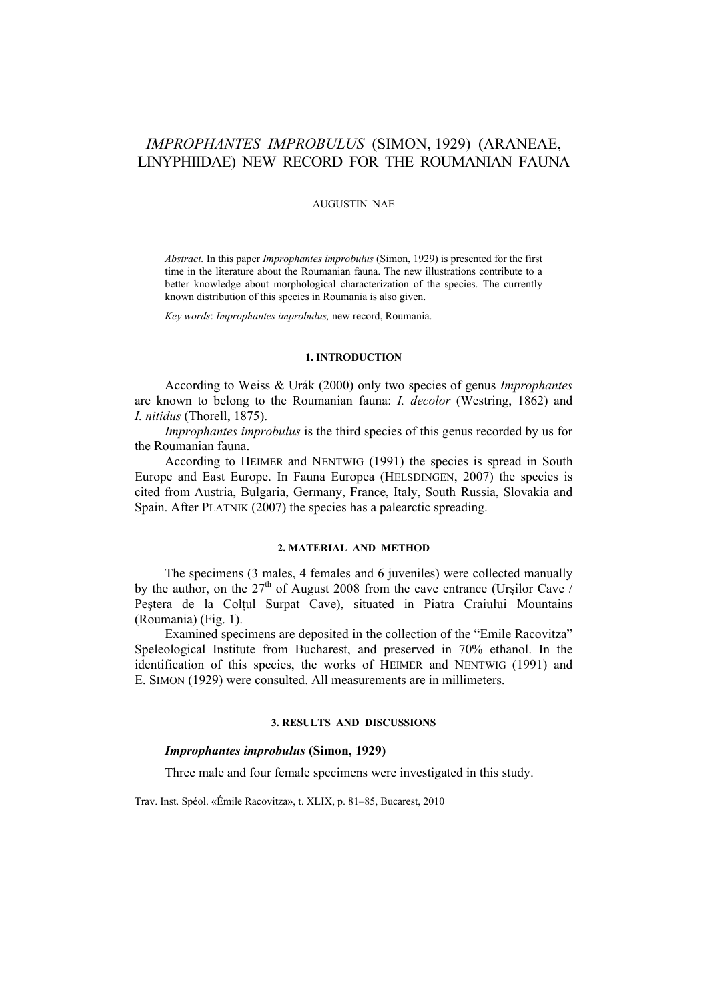# *IMPROPHANTES IMPROBULUS* (SIMON, 1929) (ARANEAE, LINYPHIIDAE) NEW RECORD FOR THE ROUMANIAN FAUNA

## AUGUSTIN NAE

*Abstract.* In this paper *Improphantes improbulus* (Simon, 1929) is presented for the first time in the literature about the Roumanian fauna. The new illustrations contribute to a better knowledge about morphological characterization of the species. The currently known distribution of this species in Roumania is also given.

*Key words*: *Improphantes improbulus,* new record, Roumania.

#### **1. INTRODUCTION**

According to Weiss & Urák (2000) only two species of genus *Improphantes* are known to belong to the Roumanian fauna: *I. decolor* (Westring, 1862) and *I. nitidus* (Thorell, 1875).

*Improphantes improbulus* is the third species of this genus recorded by us for the Roumanian fauna.

According to HEIMER and NENTWIG (1991) the species is spread in South Europe and East Europe. In Fauna Europea (HELSDINGEN, 2007) the species is cited from Austria, Bulgaria, Germany, France, Italy, South Russia, Slovakia and Spain. After PLATNIK (2007) the species has a palearctic spreading.

#### **2. MATERIAL AND METHOD**

The specimens (3 males, 4 females and 6 juveniles) were collected manually by the author, on the  $27<sup>th</sup>$  of August 2008 from the cave entrance (Urşilor Cave / Peștera de la Colțul Surpat Cave), situated in Piatra Craiului Mountains (Roumania) (Fig. 1).

Examined specimens are deposited in the collection of the "Emile Racovitza" Speleological Institute from Bucharest, and preserved in 70% ethanol. In the identification of this species, the works of HEIMER and NENTWIG (1991) and E. SIMON (1929) were consulted. All measurements are in millimeters.

### **3. RESULTS AND DISCUSSIONS**

# *Improphantes improbulus* **(Simon, 1929)**

Three male and four female specimens were investigated in this study.

Trav. Inst. Spéol. «Émile Racovitza», t. XLIX, p. 81–85, Bucarest, 2010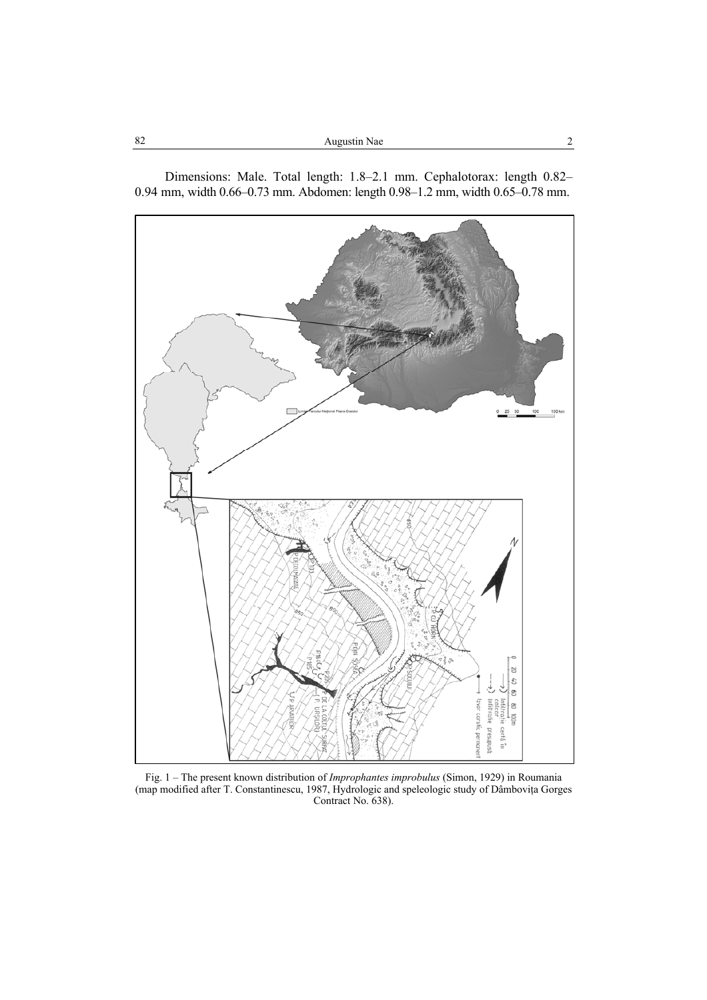| 82 | Augustin Nae |  |
|----|--------------|--|
|    |              |  |

Dimensions: Male. Total length: 1.8–2.1 mm. Cephalotorax: length 0.82– 0.94 mm, width 0.66–0.73 mm. Abdomen: length 0.98–1.2 mm, width 0.65–0.78 mm.



Fig. 1 – The present known distribution of *Improphantes improbulus* (Simon, 1929) in Roumania (map modified after T. Constantinescu, 1987, Hydrologic and speleologic study of Dâmboviţa Gorges Contract No. 638).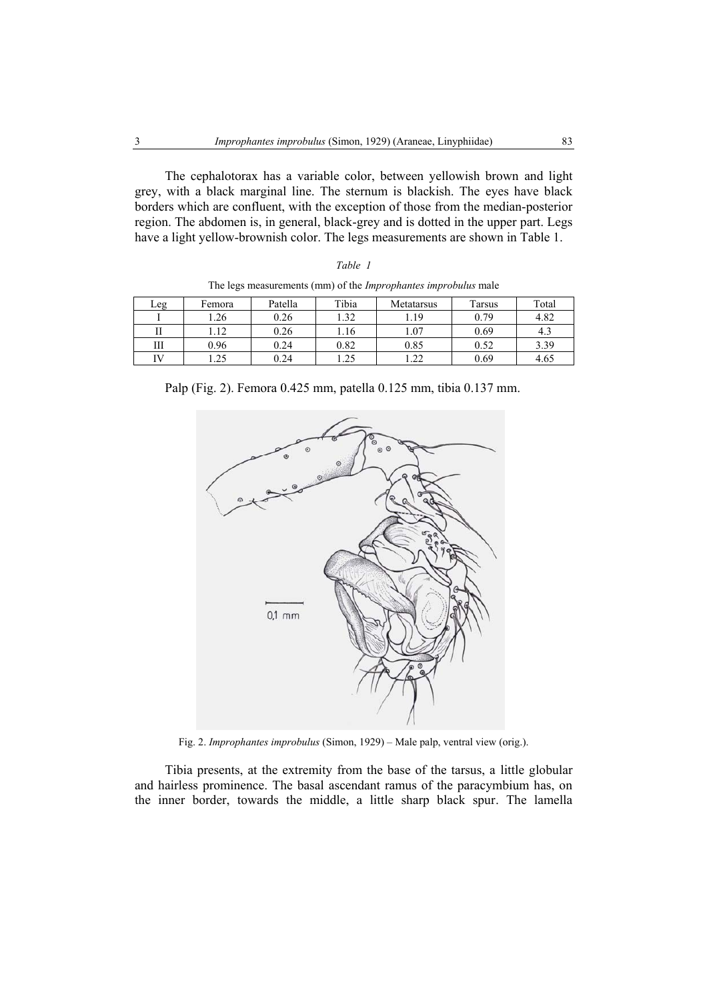The cephalotorax has a variable color, between yellowish brown and light grey, with a black marginal line. The sternum is blackish. The eyes have black borders which are confluent, with the exception of those from the median-posterior region. The abdomen is, in general, black-grey and is dotted in the upper part. Legs have a light yellow-brownish color. The legs measurements are shown in Table 1.

|  | ani |  |
|--|-----|--|
|--|-----|--|

| Leg | Femora | Patella | Tibia | Metatarsus | Tarsus | Total |
|-----|--------|---------|-------|------------|--------|-------|
|     | .26    | 0.26    | l.32  | 1.19       | 0.79   | 4.82  |
| П   | 1.12   | 0.26    | .16   | 1.07       | 0.69   | 4.3   |
| Ш   | 0.96   | 0.24    | 0.82  | 0.85       | 0.52   | 3.39  |
| īV  | .25    | 0.24    | 1.25  | .22        | 0.69   | 4.65  |

The legs measurements (mm) of the *Improphantes improbulus* male

Palp (Fig. 2). Femora 0.425 mm, patella 0.125 mm, tibia 0.137 mm.



Fig. 2. *Improphantes improbulus* (Simon, 1929) – Male palp, ventral view (orig.).

Tibia presents, at the extremity from the base of the tarsus, a little globular and hairless prominence. The basal ascendant ramus of the paracymbium has, on the inner border, towards the middle, a little sharp black spur. The lamella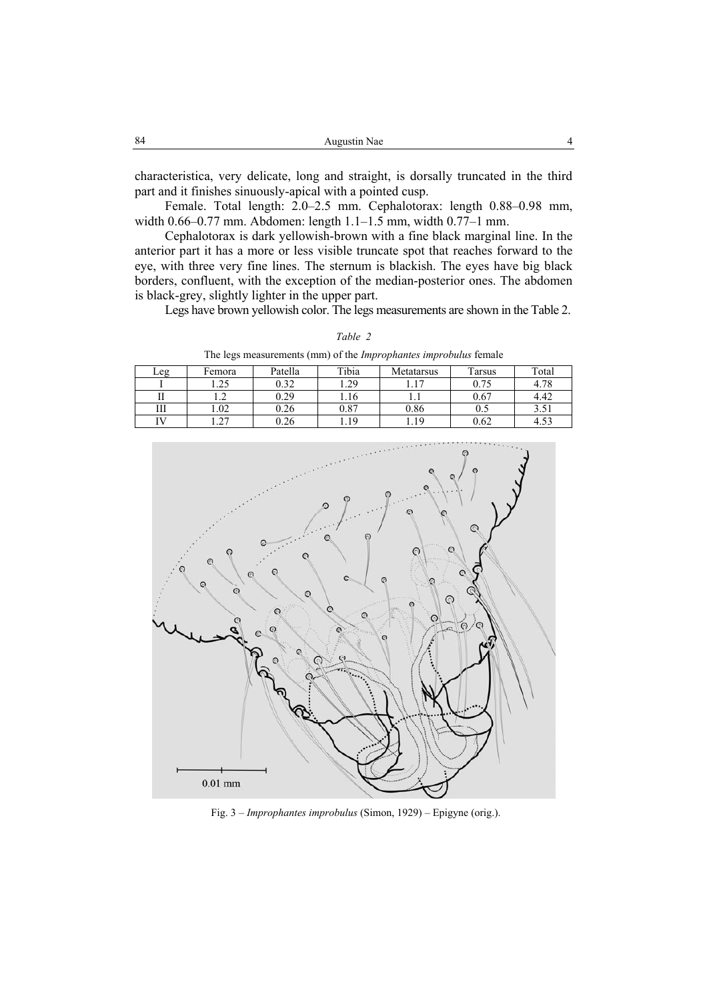| 84<br>$\sim$ $\sim$<br>Augustin Nae |  |
|-------------------------------------|--|
|-------------------------------------|--|

characteristica, very delicate, long and straight, is dorsally truncated in the third part and it finishes sinuously-apical with a pointed cusp.

Female. Total length: 2.0–2.5 mm. Cephalotorax: length 0.88–0.98 mm, width 0.66–0.77 mm. Abdomen: length 1.1–1.5 mm, width 0.77–1 mm.

Cephalotorax is dark yellowish-brown with a fine black marginal line. In the anterior part it has a more or less visible truncate spot that reaches forward to the eye, with three very fine lines. The sternum is blackish. The eyes have big black borders, confluent, with the exception of the median-posterior ones. The abdomen is black-grey, slightly lighter in the upper part.

Legs have brown yellowish color. The legs measurements are shown in the Table 2.

| The regs measurements (man) or the <i>impropriances improvaius</i> remare |        |         |       |            |        |       |
|---------------------------------------------------------------------------|--------|---------|-------|------------|--------|-------|
| Leg                                                                       | Femora | Patella | Tibia | Metatarsus | Tarsus | Total |
|                                                                           | .25    | 0.32    | . 29  |            | 0.75   | 4.78  |
|                                                                           | .      | 0.29    | 1.16  |            | 0.67   | 4.42  |
| Ш                                                                         | .02    | 0.26    | 0.87  | 0.86       |        |       |
|                                                                           | 27     | 0.26    | .19   | .19        | 0.62   | 4.5?  |

*Table 2*  measurements (mm) of the *Improphantes improbulus* female



Fig. 3 – *Improphantes improbulus* (Simon, 1929) – Epigyne (orig.).